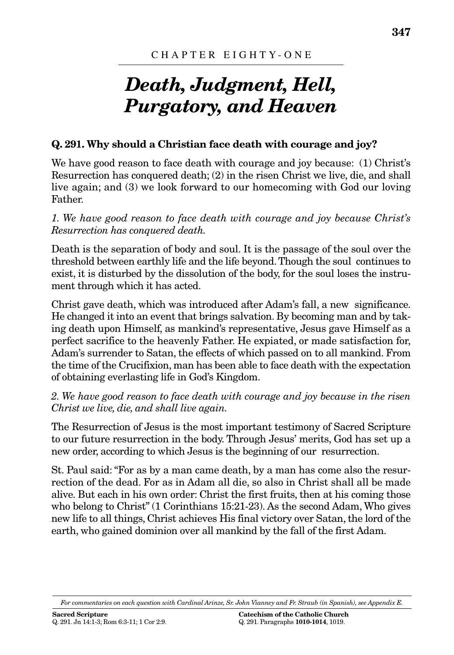# *Death, Judgment, Hell, Purgatory, and Heaven*

## **Q. 291. Why should a Christian face death with courage and joy?**

We have good reason to face death with courage and joy because: (1) Christ's Resurrection has conquered death; (2) in the risen Christ we live, die, and shall live again; and (3) we look forward to our homecoming with God our loving Father.

*1. We have good reason to face death with courage and joy because Christ's Resurrection has conquered death.*

Death is the separation of body and soul. It is the passage of the soul over the threshold between earthly life and the life beyond. Though the soul continues to exist, it is disturbed by the dissolution of the body, for the soul loses the instrument through which it has acted.

Christ gave death, which was introduced after Adam's fall, a new significance. He changed it into an event that brings salvation. By becoming man and by taking death upon Himself, as mankind's representative, Jesus gave Himself as a perfect sacrifice to the heavenly Father. He expiated, or made satisfaction for, Adam's surrender to Satan, the effects of which passed on to all mankind. From the time of the Crucifixion, man has been able to face death with the expectation of obtaining everlasting life in God's Kingdom.

*2. We have good reason to face death with courage and joy because in the risen Christ we live, die, and shall live again.*

The Resurrection of Jesus is the most important testimony of Sacred Scripture to our future resurrection in the body. Through Jesus' merits, God has set up a new order, according to which Jesus is the beginning of our resurrection.

St. Paul said: "For as by a man came death, by a man has come also the resurrection of the dead. For as in Adam all die, so also in Christ shall all be made alive. But each in his own order: Christ the first fruits, then at his coming those who belong to Christ" (1 Corinthians 15:21-23). As the second Adam, Who gives new life to all things, Christ achieves His final victory over Satan, the lord of the earth, who gained dominion over all mankind by the fall of the first Adam.

*For commentaries on each question with Cardinal Arinze, Sr. John Vianney and Fr. Straub (in Spanish), see Appendix E.*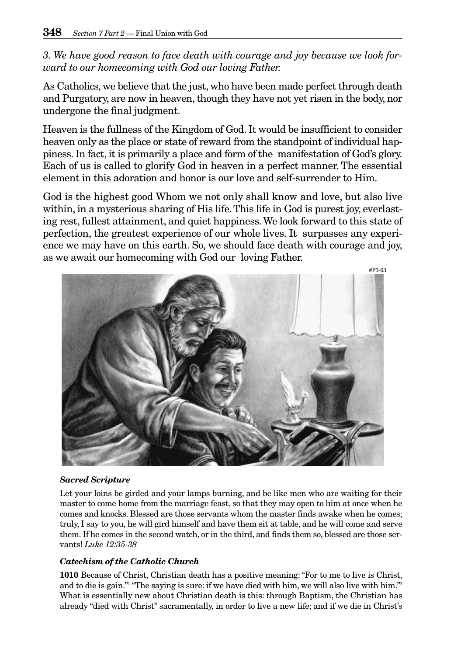*3. We have good reason to face death with courage and joy because we look forward to our homecoming with God our loving Father.*

As Catholics, we believe that the just, who have been made perfect through death and Purgatory, are now in heaven, though they have not yet risen in the body, nor undergone the final judgment.

Heaven is the fullness of the Kingdom of God. It would be insufficient to consider heaven only as the place or state of reward from the standpoint of individual happiness. In fact, it is primarily a place and form of the manifestation of God's glory. Each of us is called to glorify God in heaven in a perfect manner. The essential element in this adoration and honor is our love and self-surrender to Him.

God is the highest good Whom we not only shall know and love, but also live within, in a mysterious sharing of His life. This life in God is purest joy, everlasting rest, fullest attainment, and quiet happiness.We look forward to this state of perfection, the greatest experience of our whole lives. It surpasses any experience we may have on this earth. So, we should face death with courage and joy, as we await our homecoming with God our loving Father.



#### *Sacred Scripture*

Let your loins be girded and your lamps burning, and be like men who are waiting for their master to come home from the marriage feast, so that they may open to him at once when he comes and knocks. Blessed are those servants whom the master finds awake when he comes; truly, I say to you, he will gird himself and have them sit at table, and he will come and serve them. If he comes in the second watch, or in the third, and finds them so, blessed are those servants! *Luke 12:35-38*

#### *Catechism of the Catholic Church*

**1010** Because of Christ, Christian death has a positive meaning: "For to me to live is Christ, and to die is gain." "The saying is sure: if we have died with him, we will also live with him." What is essentially new about Christian death is this: through Baptism, the Christian has already "died with Christ" sacramentally, in order to live a new life; and if we die in Christ's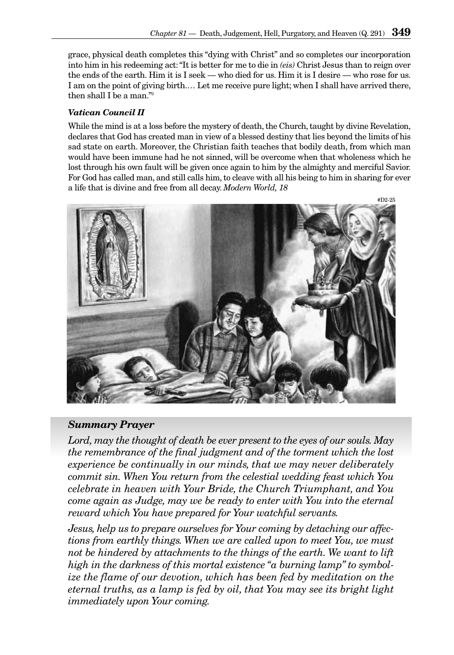grace, physical death completes this "dying with Christ" and so completes our incorporation into him in his redeeming act: "It is better for me to die in *(eis)* Christ Jesus than to reign over the ends of the earth. Him it is I seek — who died for us. Him it is I desire — who rose for us. I am on the point of giving birth.… Let me receive pure light; when I shall have arrived there, then shall I be a man."3

#### *Vatican Council II*

While the mind is at a loss before the mystery of death, the Church, taught by divine Revelation, declares that God has created man in view of a blessed destiny that lies beyond the limits of his sad state on earth. Moreover, the Christian faith teaches that bodily death, from which man would have been immune had he not sinned, will be overcome when that wholeness which he lost through his own fault will be given once again to him by the almighty and merciful Savior. For God has called man, and still calls him, to cleave with all his being to him in sharing for ever a life that is divine and free from all decay. *Modern World, 18*



#### *Summary Prayer*

*Lord, may the thought of death be ever present to the eyes of our souls. May the remembrance of the final judgment and of the torment which the lost experience be continually in our minds, that we may never deliberately commit sin. When You return from the celestial wedding feast which You celebrate in heaven with Your Bride, the Church Triumphant, and You come again as Judge, may we be ready to enter with You into the eternal reward which You have prepared for Your watchful servants.*

*Jesus, help us to prepare ourselves for Your coming by detaching our affections from earthly things. When we are called upon to meet You, we must* not be hindered by attachments to the things of the earth. We want to lift *high in the darkness of this mortal existence "a burning lamp" to symbolize the flame of our devotion, which has been fed by meditation on the eternal truths, as a lamp is fed by oil, that You may see its bright light immediately upon Your coming.*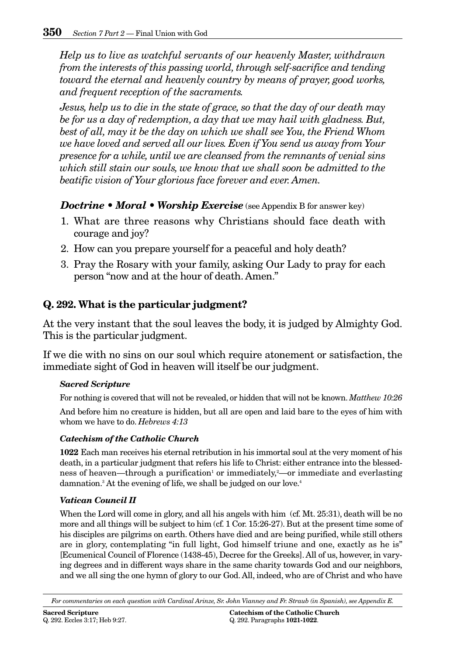*Help us to live as watchful servants of our heavenly Master, withdrawn from the interests of this passing world, through self-sacrifice and tending toward the eternal and heavenly country by means of prayer, good works, and frequent reception of the sacraments.*

*Jesus, help us to die in the state of grace, so that the day of our death may be for us a day of redemption, a day that we may hail with gladness. But, best of all, may it be the day on which we shall see You, the Friend Whom we have loved and served all our lives. Even if You send us away from Your presence for a while, until we are cleansed from the remnants of venial sins which still stain our souls, we know that we shall soon be admitted to the beatific vision of Your glorious face forever and ever. Amen.*

#### *Doctrine* • *Moral* • *Worship Exercise* (see Appendix B for answer key)

- 1. What are three reasons why Christians should face death with courage and joy?
- 2. How can you prepare yourself for a peaceful and holy death?
- 3. Pray the Rosary with your family, asking Our Lady to pray for each person "now and at the hour of death. Amen."

### **Q. 292. What is the particular judgment?**

At the very instant that the soul leaves the body, it is judged by Almighty God. This is the particular judgment.

If we die with no sins on our soul which require atonement or satisfaction, the immediate sight of God in heaven will itself be our judgment.

#### *Sacred Scripture*

For nothing is covered that will not be revealed, or hidden that will not be known. *Matthew 10:26* And before him no creature is hidden, but all are open and laid bare to the eyes of him with whom we have to do. *Hebrews 4:13*

#### *Catechism of the Catholic Church*

**1022** Each man receives his eternal retribution in his immortal soul at the very moment of his death, in a particular judgment that refers his life to Christ: either entrance into the blessedness of heaven—through a purification<sup>1</sup> or immediately,<sup>2</sup>—or immediate and everlasting damnation.<sup>3</sup> At the evening of life, we shall be judged on our love.<sup>4</sup>

#### *Vatican Council II*

When the Lord will come in glory, and all his angels with him (cf. Mt. 25:31), death will be no more and all things will be subject to him (cf. 1 Cor. 15:26-27). But at the present time some of his disciples are pilgrims on earth. Others have died and are being purified, while still others are in glory, contemplating "in full light, God himself triune and one, exactly as he is" [Ecumenical Council of Florence (1438-45), Decree for the Greeks]. All of us, however, in varying degrees and in different ways share in the same charity towards God and our neighbors, and we all sing the one hymn of glory to our God. All, indeed, who are of Christ and who have

*For commentaries on each question with Cardinal Arinze, Sr. John Vianney and Fr. Straub (in Spanish), see Appendix E.*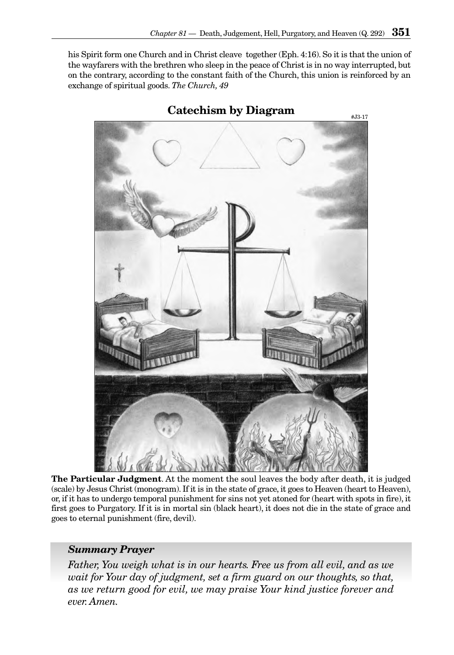his Spirit form one Church and in Christ cleave together (Eph. 4:16). So it is that the union of the wayfarers with the brethren who sleep in the peace of Christ is in no way interrupted, but on the contrary, according to the constant faith of the Church, this union is reinforced by an exchange of spiritual goods. *The Church, 49*



**Catechism by Diagram**  $\text{H}_{\text{H}33-17}$ 

**The Particular Judgment**. At the moment the soul leaves the body after death, it is judged (scale) by Jesus Christ (monogram). If it is in the state of grace, it goes to Heaven (heart to Heaven), or, if it has to undergo temporal punishment for sins not yet atoned for (heart with spots in fire), it first goes to Purgatory. If it is in mortal sin (black heart), it does not die in the state of grace and goes to eternal punishment (fire, devil).

#### *Summary Prayer*

*Father, You weigh what is in our hearts. Free us from all evil, and as we wait for Your day of judgment, set a firm guard on our thoughts, so that, as we return good for evil, we may praise Your kind justice forever and ever. Amen.*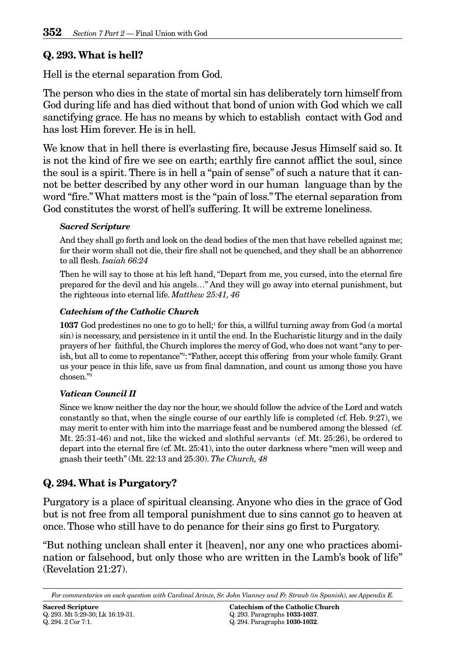## **Q. 293. What is hell?**

Hell is the eternal separation from God.

The person who dies in the state of mortal sin has deliberately torn himself from God during life and has died without that bond of union with God which we call sanctifying grace. He has no means by which to establish contact with God and has lost Him forever. He is in hell.

We know that in hell there is everlasting fire, because Jesus Himself said so. It is not the kind of fire we see on earth; earthly fire cannot afflict the soul, since the soul is a spirit. There is in hell a "pain of sense" of such a nature that it cannot be better described by any other word in our human language than by the word "fire." What matters most is the "pain of loss." The eternal separation from God constitutes the worst of hell's suffering. It will be extreme loneliness.

#### *Sacred Scripture*

And they shall go forth and look on the dead bodies of the men that have rebelled against me; for their worm shall not die, their fire shall not be quenched, and they shall be an abhorrence to all flesh. *Isaiah 66:24*

Then he will say to those at his left hand, "Depart from me, you cursed, into the eternal fire prepared for the devil and his angels…" And they will go away into eternal punishment, but the righteous into eternal life. *Matthew 25:41, 46*

#### *Catechism of the Catholic Church*

**1037** God predestines no one to go to hell;<sup>1</sup> for this, a willful turning away from God (a mortal sin) is necessary, and persistence in it until the end. In the Eucharistic liturgy and in the daily prayers of her faithful, the Church implores the mercy of God, who does not want "any to perish, but all to come to repentance"2 :"Father, accept this offering from your whole family. Grant us your peace in this life, save us from final damnation, and count us among those you have chosen."3

#### *Vatican Council II*

Since we know neither the day nor the hour, we should follow the advice of the Lord and watch constantly so that, when the single course of our earthly life is completed (cf. Heb. 9:27), we may merit to enter with him into the marriage feast and be numbered among the blessed (cf. Mt. 25:31-46) and not, like the wicked and slothful servants (cf. Mt. 25:26), be ordered to depart into the eternal fire (cf. Mt. 25:41), into the outer darkness where "men will weep and gnash their teeth" (Mt. 22:13 and 25:30). *The Church, 48*

## **Q. 294. What is Purgatory?**

Purgatory is a place of spiritual cleansing. Anyone who dies in the grace of God but is not free from all temporal punishment due to sins cannot go to heaven at once. Those who still have to do penance for their sins go first to Purgatory.

"But nothing unclean shall enter it [heaven], nor any one who practices abomination or falsehood, but only those who are written in the Lamb's book of life" (Revelation 21:27).

*For commentaries on each question with Cardinal Arinze, Sr. John Vianney and Fr. Straub (in Spanish), see Appendix E.*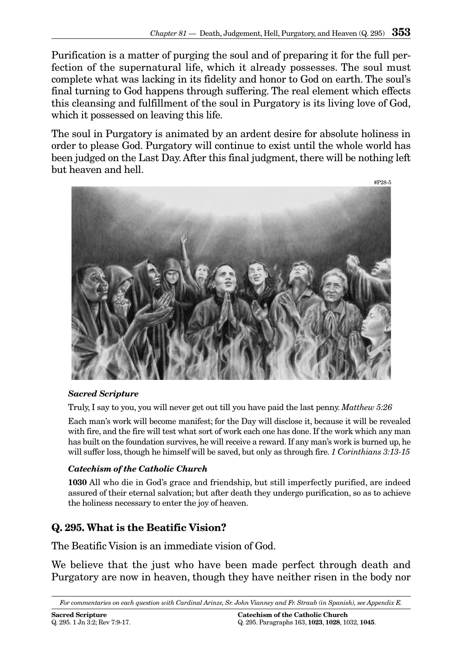Purification is a matter of purging the soul and of preparing it for the full perfection of the supernatural life, which it already possesses. The soul must complete what was lacking in its fidelity and honor to God on earth. The soul's final turning to God happens through suffering. The real element which effects this cleansing and fulfillment of the soul in Purgatory is its living love of God, which it possessed on leaving this life.

The soul in Purgatory is animated by an ardent desire for absolute holiness in order to please God. Purgatory will continue to exist until the whole world has been judged on the Last Day. After this final judgment, there will be nothing left but heaven and hell.



#### *Sacred Scripture*

Truly, I say to you, you will never get out till you have paid the last penny. *Matthew 5:26*

Each man's work will become manifest; for the Day will disclose it, because it will be revealed with fire, and the fire will test what sort of work each one has done. If the work which any man has built on the foundation survives, he will receive a reward. If any man's work is burned up, he will suffer loss, though he himself will be saved, but only as through fire. *1 Corinthians 3:13-15*

#### *Catechism of the Catholic Church*

**1030** All who die in God's grace and friendship, but still imperfectly purified, are indeed assured of their eternal salvation; but after death they undergo purification, so as to achieve the holiness necessary to enter the joy of heaven.

## **Q. 295. What is the Beatific Vision?**

The Beatific Vision is an immediate vision of God.

We believe that the just who have been made perfect through death and Purgatory are now in heaven, though they have neither risen in the body nor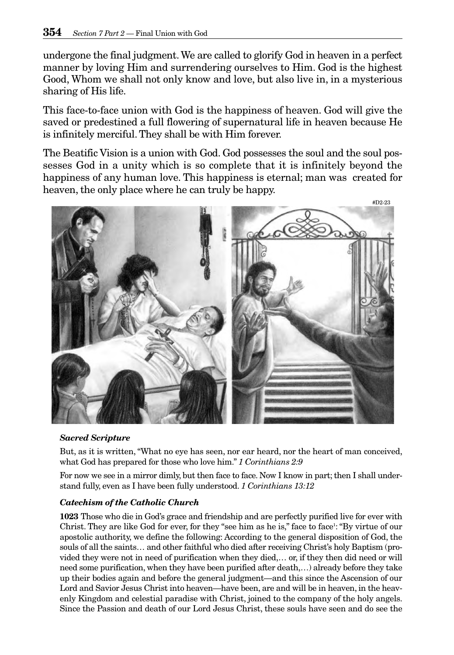undergone the final judgment.We are called to glorify God in heaven in a perfect manner by loving Him and surrendering ourselves to Him. God is the highest Good, Whom we shall not only know and love, but also live in, in a mysterious sharing of His life.

This face-to-face union with God is the happiness of heaven. God will give the saved or predestined a full flowering of supernatural life in heaven because He is infinitely merciful. They shall be with Him forever.

The Beatific Vision is a union with God. God possesses the soul and the soul possesses God in a unity which is so complete that it is infinitely beyond the happiness of any human love. This happiness is eternal; man was created for heaven, the only place where he can truly be happy.



#### *Sacred Scripture*

But, as it is written, "What no eye has seen, nor ear heard, nor the heart of man conceived, what God has prepared for those who love him." *1 Corinthians 2:9*

For now we see in a mirror dimly, but then face to face. Now I know in part; then I shall understand fully, even as I have been fully understood. *1 Corinthians 13:12*

#### *Catechism of the Catholic Church*

**1023** Those who die in God's grace and friendship and are perfectly purified live for ever with Christ. They are like God for ever, for they "see him as he is," face to face!: "By virtue of our apostolic authority, we define the following: According to the general disposition of God, the souls of all the saints… and other faithful who died after receiving Christ's holy Baptism (provided they were not in need of purification when they died,… or, if they then did need or will need some purification, when they have been purified after death,…) already before they take up their bodies again and before the general judgment—and this since the Ascension of our Lord and Savior Jesus Christ into heaven—have been, are and will be in heaven, in the heavenly Kingdom and celestial paradise with Christ, joined to the company of the holy angels. Since the Passion and death of our Lord Jesus Christ, these souls have seen and do see the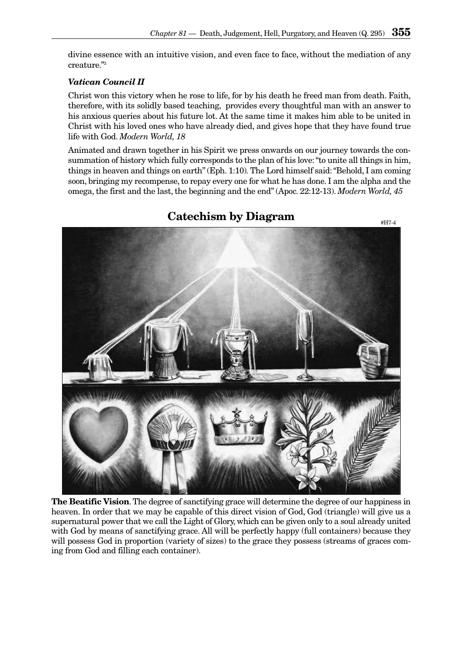divine essence with an intuitive vision, and even face to face, without the mediation of any creature."2

#### *Vatican Council II*

Christ won this victory when he rose to life, for by his death he freed man from death. Faith, therefore, with its solidly based teaching, provides every thoughtful man with an answer to his anxious queries about his future lot. At the same time it makes him able to be united in Christ with his loved ones who have already died, and gives hope that they have found true life with God. *Modern World, 18*

Animated and drawn together in his Spirit we press onwards on our journey towards the consummation of history which fully corresponds to the plan of his love:"to unite all things in him, things in heaven and things on earth" (Eph. 1:10). The Lord himself said: "Behold, I am coming soon, bringing my recompense, to repay every one for what he has done. I am the alpha and the omega, the first and the last, the beginning and the end" (Apoc. 22:12-13). *Modern World, 45*



**Catechism by Diagram**  $\text{H}_{\text{HH7-4}}$ 

**The Beatific Vision**. The degree of sanctifying grace will determine the degree of our happiness in heaven. In order that we may be capable of this direct vision of God, God (triangle) will give us a supernatural power that we call the Light of Glory, which can be given only to a soul already united with God by means of sanctifying grace. All will be perfectly happy (full containers) because they will possess God in proportion (variety of sizes) to the grace they possess (streams of graces coming from God and filling each container).